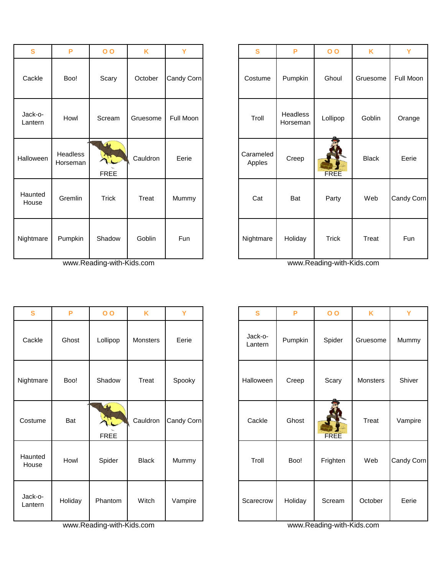| S                  | P                    | $\overline{O}$                               | K        | Y          | S                   | P                    | $\overline{O}$ | K            | Y.      |
|--------------------|----------------------|----------------------------------------------|----------|------------|---------------------|----------------------|----------------|--------------|---------|
| Cackle             | Boo!                 | Scary                                        | October  | Candy Corn | Costume             | Pumpkin              | Ghoul          | Gruesome     | Full Mo |
| Jack-o-<br>Lantern | Howl                 | Scream                                       | Gruesome | Full Moon  | Troll               | Headless<br>Horseman | Lollipop       | Goblin       | Oranç   |
| Halloween          | Headless<br>Horseman | $\overline{\mathbf{A}}$<br>AL<br><b>FREE</b> | Cauldron | Eerie      | Carameled<br>Apples | Creep                | FREE           | <b>Black</b> | Eerie   |
| Haunted<br>House   | Gremlin              | <b>Trick</b>                                 | Treat    | Mummy      | Cat                 | Bat                  | Party          | Web          | Candy 0 |
| Nightmare          | Pumpkin              | Shadow                                       | Goblin   | Fun        | Nightmare           | Holiday              | <b>Trick</b>   | Treat        | Fun     |

www.Reading-with-Kids.com www.Reading-with-Kids.com www.Reading-with-Kids.com

| S                  | P       | $\overline{O}$                          | K            | Y          | S                  | P       | 0 <sub>0</sub> | K        | Y                 |
|--------------------|---------|-----------------------------------------|--------------|------------|--------------------|---------|----------------|----------|-------------------|
| Cackle             | Ghost   | Lollipop                                | Monsters     | Eerie      | Jack-o-<br>Lantern | Pumpkin | Spider         | Gruesome | Mumm <sup>®</sup> |
| Nightmare          | Boo!    | Shadow                                  | Treat        | Spooky     | Halloween          | Creep   | Scary          | Monsters | Shiver            |
| Costume            | Bat     | $\triangle$<br>$\Lambda$<br><b>FREE</b> | Cauldron     | Candy Corn | Cackle             | Ghost   | FREE           | Treat    | Vampir            |
| Haunted<br>House   | Howl    | Spider                                  | <b>Black</b> | Mummy      | Troll              | Boo!    | Frighten       | Web      | Candy Co          |
| Jack-o-<br>Lantern | Holiday | Phantom                                 | Witch        | Vampire    | Scarecrow          | Holiday | Scream         | October  | Eerie             |

www.Reading-with-Kids.com www.Reading-with-Kids.com www.Reading-with-Kids.com

| S                  | P                           | 0 <sub>0</sub>                   | K        | Y          | $\mathbf{s}$        | P                    | 0 <sub>0</sub> | K            |            |
|--------------------|-----------------------------|----------------------------------|----------|------------|---------------------|----------------------|----------------|--------------|------------|
| Cackle             | Boo!                        | Scary                            | October  | Candy Corn | Costume             | Pumpkin              | Ghoul          | Gruesome     | Full Moon  |
| Jack-o-<br>Lantern | Howl                        | Scream                           | Gruesome | Full Moon  | Troll               | Headless<br>Horseman | Lollipop       | Goblin       | Orange     |
| alloween           | <b>Headless</b><br>Horseman | $\triangle$<br>AL<br><b>FREE</b> | Cauldron | Eerie      | Carameled<br>Apples | Creep                | <b>FREE</b>    | <b>Black</b> | Eerie      |
| launted<br>House   | Gremlin                     | <b>Trick</b>                     | Treat    | Mummy      | Cat                 | Bat                  | Party          | Web          | Candy Corn |
| ightmare           | Pumpkin                     | Shadow                           | Goblin   | Fun        | Nightmare           | Holiday              | <b>Trick</b>   | Treat        | Fun        |

| S                  | P       | $\overline{O}$             | K            | Y          | $\mathbf{s}$       | P       | 0 <sub>0</sub> | K        | Y          |
|--------------------|---------|----------------------------|--------------|------------|--------------------|---------|----------------|----------|------------|
| Cackle             | Ghost   | Lollipop                   | Monsters     | Eerie      | Jack-o-<br>Lantern | Pumpkin | Spider         | Gruesome | Mummy      |
| ghtmare            | Boo!    | Shadow                     | Treat        | Spooky     | Halloween          | Creep   | Scary          | Monsters | Shiver     |
| ostume             | Bat     | $\triangle$<br><b>FREE</b> | Cauldron     | Candy Corn | Cackle             | Ghost   | FREE           | Treat    | Vampire    |
| launted<br>House   | Howl    | Spider                     | <b>Black</b> | Mummy      | Troll              | Boo!    | Frighten       | Web      | Candy Corn |
| Jack-o-<br>Lantern | Holiday | Phantom                    | Witch        | Vampire    | Scarecrow          | Holiday | Scream         | October  | Eerie      |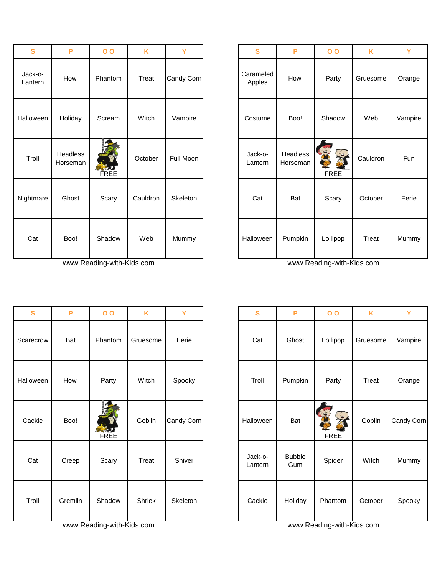| S                  | P                    | 0 <sub>0</sub> | K        | Y          | S                   | P                           | $\overline{O}$   | K        | Y       |
|--------------------|----------------------|----------------|----------|------------|---------------------|-----------------------------|------------------|----------|---------|
| Jack-o-<br>Lantern | Howl                 | Phantom        | Treat    | Candy Corn | Carameled<br>Apples | Howl                        | Party            | Gruesome | Orange  |
| <b>Halloween</b>   | Holiday              | Scream         | Witch    | Vampire    | Costume             | Boo!                        | Shadow           | Web      | Vampire |
| Troll              | Headless<br>Horseman | FREE           | October  | Full Moon  | Jack-o-<br>Lantern  | <b>Headless</b><br>Horseman | J<br><b>FREE</b> | Cauldron | Fun     |
| Nightmare          | Ghost                | Scary          | Cauldron | Skeleton   | Cat                 | Bat                         | Scary            | October  | Eerie   |
| Cat                | Boo!                 | Shadow         | Web      | Mummy      | Halloween           | Pumpkin                     | Lollipop         | Treat    | Mummy   |

www.Reading-with-Kids.com www.Reading-with-Kids.com

| $\mathbf{s}$ | P       | $\overline{O}$ | K        | Y          | S                  | P                    | $\overline{O}$   | K        | Y        |
|--------------|---------|----------------|----------|------------|--------------------|----------------------|------------------|----------|----------|
| Scarecrow    | Bat     | Phantom        | Gruesome | Eerie      | Cat                | Ghost                | Lollipop         | Gruesome | Vampire  |
| Halloween    | Howl    | Party          | Witch    | Spooky     | Troll              | Pumpkin              | Party            | Treat    | Orange   |
| Cackle       | Boo!    | FREE           | Goblin   | Candy Corn | Halloween          | Bat                  | C<br><b>FREE</b> | Goblin   | Candy Co |
| Cat          | Creep   | Scary          | Treat    | Shiver     | Jack-o-<br>Lantern | <b>Bubble</b><br>Gum | Spider           | Witch    | Mummy    |
| Troll        | Gremlin | Shadow         | Shriek   | Skeleton   | Cackle             | Holiday              | Phantom          | October  | Spooky   |

www.Reading-with-Kids.com www.Reading-with-Kids.com

| $\mathbf{s}$     | P                           | $\overline{O}$ | K        | Ÿ          | $\mathbf{s}$        | P                    | $\overline{O}$          | K        | Y       |
|------------------|-----------------------------|----------------|----------|------------|---------------------|----------------------|-------------------------|----------|---------|
| ick-o-<br>ıntern | Howl                        | Phantom        | Treat    | Candy Corn | Carameled<br>Apples | Howl                 | Party                   | Gruesome | Orange  |
| loween           | Holiday                     | Scream         | Witch    | Vampire    | Costume             | Boo!                 | Shadow                  | Web      | Vampire |
| Troll            | <b>Headless</b><br>Horseman | FREE           | October  | Full Moon  | Jack-o-<br>Lantern  | Headless<br>Horseman | EN.<br>C<br><b>FREE</b> | Cauldron | Fun     |
| htmare           | Ghost                       | Scary          | Cauldron | Skeleton   | Cat                 | Bat                  | Scary                   | October  | Eerie   |
| Cat              | Boo!                        | Shadow         | Web      | Mummy      | Halloween           | Pumpkin              | Lollipop                | Treat    | Mummy   |

| S       | P       | 0 <sub>0</sub> | K        | Y          | $\mathbf{s}$       | P                    | 0 <sub>0</sub>        | K        | Y          |
|---------|---------|----------------|----------|------------|--------------------|----------------------|-----------------------|----------|------------|
| arecrow | Bat     | Phantom        | Gruesome | Eerie      | Cat                | Ghost                | Lollipop              | Gruesome | Vampire    |
| lloween | Howl    | Party          | Witch    | Spooky     | Troll              | Pumpkin              | Party                 | Treat    | Orange     |
| ackle:  | Boo!    | FREE           | Goblin   | Candy Corn | Halloween          | Bat                  | E<br>O<br><b>FREE</b> | Goblin   | Candy Corn |
| Cat     | Creep   | Scary          | Treat    | Shiver     | Jack-o-<br>Lantern | <b>Bubble</b><br>Gum | Spider                | Witch    | Mummy      |
| Troll   | Gremlin | Shadow         | Shriek   | Skeleton   | Cackle             | Holiday              | Phantom               | October  | Spooky     |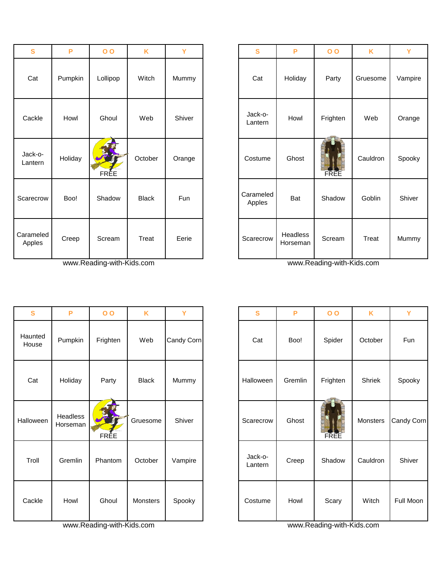| $\mathbf{s}$        | P       | $\overline{O}$ | K            | Ÿ          | $\mathbf{s}$        | P                           |
|---------------------|---------|----------------|--------------|------------|---------------------|-----------------------------|
| Cat                 | Pumpkin | Lollipop       | Witch        | Mummy      | Cat                 | Holiday                     |
| Cackle              | Howl    | Ghoul          | Web          | Shiver     | Jack-o-<br>Lantern  | Howl                        |
| Jack-o-<br>Lantern  | Holiday | FRÈE           | October      | Orange     | Costume             | Ghost                       |
| Scarecrow           | Boo!    | Shadow         | <b>Black</b> | <b>Fun</b> | Carameled<br>Apples | Bat                         |
| Carameled<br>Apples | Creep   | Scream         | Treat        | Eerie      | Scarecrow           | <b>Headless</b><br>Horseman |

www.Reading-with-Kids.com www.Reading-with-Kids.com

| S                | P                    | 0 <sub>0</sub> | K            | Y          | S                  | P       | 0 <sub>0</sub> | K        | Y       |
|------------------|----------------------|----------------|--------------|------------|--------------------|---------|----------------|----------|---------|
| Haunted<br>House | Pumpkin              | Frighten       | Web          | Candy Corn | Cat                | Boo!    | Spider         | October  | Fun     |
| Cat              | Holiday              | Party          | <b>Black</b> | Mummy      | Halloween          | Gremlin | Frighten       | Shriek   | Spool   |
| Halloween        | Headless<br>Horseman | FRÈE           | Gruesome     | Shiver     | Scarecrow          | Ghost   | <b>FREE</b>    | Monsters | Candy C |
| Troll            | Gremlin              | Phantom        | October      | Vampire    | Jack-o-<br>Lantern | Creep   | Shadow         | Cauldron | Shive   |
| Cackle           | Howl                 | Ghoul          | Monsters     | Spooky     | Costume            | Howl    | Scary          | Witch    | Full Mo |

www.Reading-with-Kids.com www.Reading-with-Kids.com

| $\mathbf{s}$     | P       | $\overline{O}$ | K            | Ÿ      | $\mathbf{s}$        | P                    | 0 <sub>0</sub> | K        | Y       |
|------------------|---------|----------------|--------------|--------|---------------------|----------------------|----------------|----------|---------|
| Cat              | Pumpkin | Lollipop       | Witch        | Mummy  | Cat                 | Holiday              | Party          | Gruesome | Vampire |
| ackle            | Howl    | Ghoul          | Web          | Shiver | Jack-o-<br>Lantern  | Howl                 | Frighten       | Web      | Orange  |
| ick-o-<br>ıntern | Holiday | <b>FRÈE</b>    | October      | Orange | Costume             | Ghost                | <b>FREE</b>    | Cauldron | Spooky  |
| irecrow          | Boo!    | Shadow         | <b>Black</b> | Fun    | Carameled<br>Apples | Bat                  | Shadow         | Goblin   | Shiver  |
| ameled<br>pples  | Creep   | Scream         | Treat        | Eerie  | Scarecrow           | Headless<br>Horseman | Scream         | Treat    | Mummy   |

| S                | P                    | $\overline{O}$ | K            | Y          | S                  | P       | 0 <sub>0</sub> | K        | Y          |
|------------------|----------------------|----------------|--------------|------------|--------------------|---------|----------------|----------|------------|
| launted<br>House | Pumpkin              | Frighten       | Web          | Candy Corn | Cat                | Boo!    | Spider         | October  | Fun        |
| Cat              | Holiday              | Party          | <b>Black</b> | Mummy      | Halloween          | Gremlin | Frighten       | Shriek   | Spooky     |
| alloween         | Headless<br>Horseman | 高尔<br>FRÈE     | Gruesome     | Shiver     | Scarecrow          | Ghost   | FREE           | Monsters | Candy Corn |
| Troll            | Gremlin              | Phantom        | October      | Vampire    | Jack-o-<br>Lantern | Creep   | Shadow         | Cauldron | Shiver     |
| Cackle           | Howl                 | Ghoul          | Monsters     | Spooky     | Costume            | Howl    | Scary          | Witch    | Full Moon  |